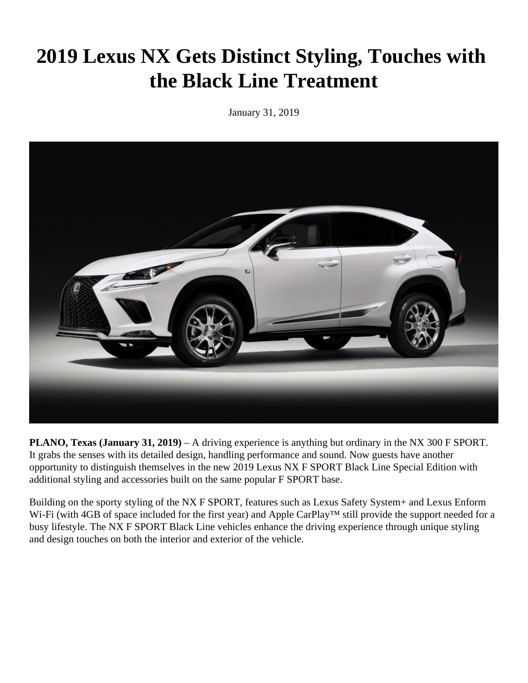## **2019 Lexus NX Gets Distinct Styling, Touches with the Black Line Treatment**

January 31, 2019



**PLANO, Texas (January 31, 2019)** – A driving experience is anything but ordinary in the NX 300 F SPORT. It grabs the senses with its detailed design, handling performance and sound. Now guests have another opportunity to distinguish themselves in the new 2019 Lexus NX F SPORT Black Line Special Edition with additional styling and accessories built on the same popular F SPORT base.

Building on the sporty styling of the NX F SPORT, features such as Lexus Safety System+ and Lexus Enform Wi-Fi (with 4GB of space included for the first year) and Apple CarPlay™ still provide the support needed for a busy lifestyle. The NX F SPORT Black Line vehicles enhance the driving experience through unique styling and design touches on both the interior and exterior of the vehicle.